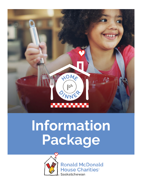

# **Information Package**



**Ronald McDonald House Charities**<sup>®</sup> **Saskatchewan**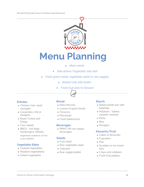

## **Menu Planning**

- *Main entrée*
- *Side dishes/Vegetable side dish*
- *Fresh green salad, vegetable salad or raw veggies*
	- *Bread/rolls with butter*
	- *Fresh fruit and/or Dessert*

### **Entrées**

- Chicken, ham, beef, sausages
- Casseroles, chili or lasagnas
- Roast Turkey and fixings
- Taco salads
- BBQ's hot dogs, hamburgers, kebobs

*Vegetarian variations can be a nice addition*

### **Vegetable Sides**

- Cooked vegetables
- Roasted vegetable(s)
- Grilled vegetables

### **Bread**

- Rolls/biscuits
- Loaves of garlic bread
- Focaccia
- Pita bread
- Fresh baked buns

### **Beverages**

• RMHC-SK can supply beverages

### **Salads**

- Fruit salad
- Raw vegetable salad
- Coleslaw
- Raw veggie platter

### **Starch**

- Baked potato bar with toppings
- Potatoes baked, roasted, mashed
- Pasta
- Rice
- Perogies

### **Desserts/Fruit**

- Cakes or Brownies
- Cupcakes
- Pies
- Sundaes or ice cream bars
- Crisps and cobblers
- Fresh fruit platters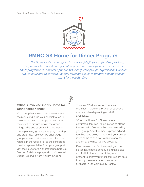

### **RMHC-SK Home for Dinner Program**

*The Home for Dinner program is a wonderful gift for our families, providing compassionate support during what may be a very stressful time. The Home for Dinner program is a volunteer opportunity for corporate groups, organizations, or even groups of friends, to come to Ronald McDonald House to prepare a home cooked meal for these families.* 

### **What is involved in this Home for Dinner experience?**

Your group has the opportunity to create the menu and bring your special touch to the evening. In your group planning, you may want to discuss who in the group brings skills and strengths in the areas of menu planning, grocery shopping, cooking and clean-up. Typically, we encourage groups to keep it simple and comfort food related. In the week prior to the scheduled meal, a representative from your group will visit the House for an orientation to help you feel comfortable in preparation of the meal. Supper is served from 5:30pm-6:30pm

Tuesday, Wednesday, or Thursday evenings. A weekend brunch or supper is also available depending on staff availability.

When the Home for Dinner date is confirmed, families will be invited to attend the Home for Dinners which are created by your group. After the meal is prepared and families have enjoyed the meal, your group is welcome to sit down with one another and enjoy the meal you've prepared.

Keep in mind that families staying at the House have hectic schedules running back and forth to the hospital. If they are not present to enjoy your meal, families are able to enjoy the meals when they return, available in the Community Pantry.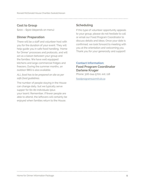### **Cost to Group**

\$200 – \$500 (depends on menu)

### **Dinner Preparation**

There will be a staff and volunteer host with you for the duration of your event. They will help guide you in safe food handling, 'Home for Dinner' processes and protocols, and will act as a liaison between your group and the families. We have well equipped kitchens and large commercial fridges and freezers. During the summer months, an outdoor BBQ is also available.

### *ALL food has to be prepared on site as per safe food guidelines.*

The number of people staying in the House can change daily, but we typically serve supper for 60-80 individuals (plus your team). Remember, if fewer people are able to attend, the leftovers will certainly be enjoyed when families return to the House.

### **Scheduling**

If this type of volunteer opportunity appeals to your group, please do not hesitate to call or email our Food Program Coordinator to discuss details and ideas. Once your date is confirmed, we look forward to meeting with you at the orientation and welcoming you. Thank you for your generosity and support!

### **Contact Information:**

### **Food Program Coordinator Darlene Kruger**

Phone: 306-244-5700, ext. 118

foodprograms@rmh.sk.ca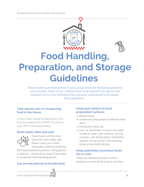



# **Food Handling, Preparation, and Storage Guidelines**

*Please make sure each person in your group reads the following guidelines very carefully. Many of our children have a low tolerance for germs and bacteria so it is very important that everyone understands and follows these guidelines.*

### **Take special care in transporting food to the House**

Frozen foods should be kept frozen, and may be dropped off at RMHC-SK prior to your HFD to be thawed safely.

### **Wash hands often and well**



Clean hands are the most important food safety tool. Please wash your hands thoroughly before and during

the food preparation process. Using gloves is optional – please let us know if you need or would like food handling gloves.

### **Use serving utensils to handle food.**

### **Clean and sanitize all food preparation surfaces**

- Before using
- In between preparation of different food items
- During final clean-up
- Use our Sanitization solution and paper towels to clean work surfaces, serving counters, and dining tables. Sanitization solution can be found in the cleaning closet in the North Kitchen.

### **Keep potentially hazardous foods hot or cold:**

These are defined as foods in which bacteria are more likely to grow and they